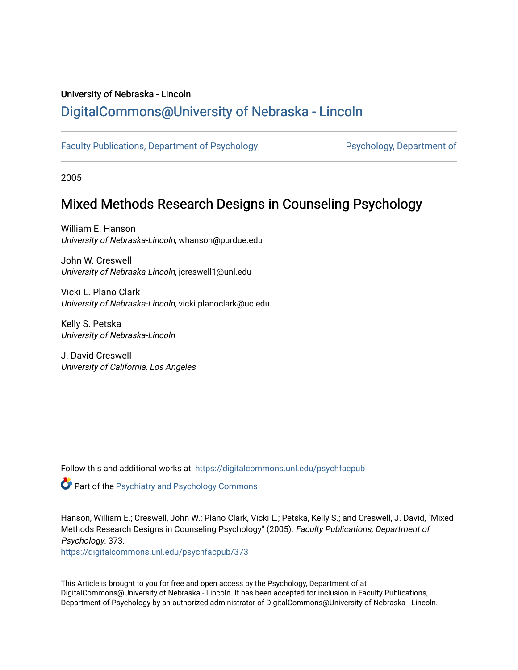## University of Nebraska - Lincoln [DigitalCommons@University of Nebraska - Lincoln](https://digitalcommons.unl.edu/)

[Faculty Publications, Department of Psychology](https://digitalcommons.unl.edu/psychfacpub) **Partment of Psychology**, Department of

2005

# Mixed Methods Research Designs in Counseling Psychology

William E. Hanson University of Nebraska-Lincoln, whanson@purdue.edu

John W. Creswell University of Nebraska-Lincoln, jcreswell1@unl.edu

Vicki L. Plano Clark University of Nebraska-Lincoln, vicki.planoclark@uc.edu

Kelly S. Petska University of Nebraska-Lincoln

J. David Creswell University of California, Los Angeles

Follow this and additional works at: [https://digitalcommons.unl.edu/psychfacpub](https://digitalcommons.unl.edu/psychfacpub?utm_source=digitalcommons.unl.edu%2Fpsychfacpub%2F373&utm_medium=PDF&utm_campaign=PDFCoverPages) 

**Part of the Psychiatry and Psychology Commons** 

Hanson, William E.; Creswell, John W.; Plano Clark, Vicki L.; Petska, Kelly S.; and Creswell, J. David, "Mixed Methods Research Designs in Counseling Psychology" (2005). Faculty Publications, Department of Psychology. 373.

[https://digitalcommons.unl.edu/psychfacpub/373](https://digitalcommons.unl.edu/psychfacpub/373?utm_source=digitalcommons.unl.edu%2Fpsychfacpub%2F373&utm_medium=PDF&utm_campaign=PDFCoverPages) 

This Article is brought to you for free and open access by the Psychology, Department of at DigitalCommons@University of Nebraska - Lincoln. It has been accepted for inclusion in Faculty Publications, Department of Psychology by an authorized administrator of DigitalCommons@University of Nebraska - Lincoln.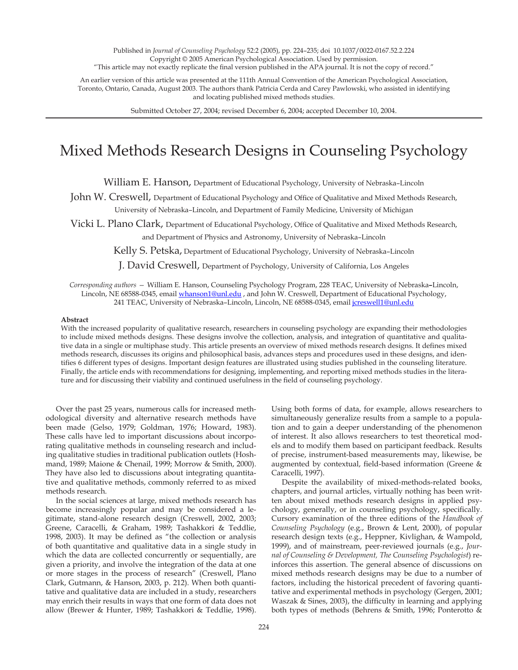Published in *Journal of Counseling Psychology* 52:2 (2005), pp. 224–235; doi 10.1037/0022-0167.52.2.224 Copyright © 2005 American Psychological Association. Used by permission. "This article may not exactly replicate the final version published in the APA journal. It is not the copy of record."

An earlier version of this article was presented at the 111th Annual Convention of the American Psychological Association, Toronto, Ontario, Canada, August 2003. The authors thank Patricia Cerda and Carey Pawlowski, who assisted in identifying and locating published mixed methods studies.

Submitted October 27, 2004; revised December 6, 2004; accepted December 10, 2004.

# Mixed Methods Research Designs in Counseling Psychology

William E. Hanson, Department of Educational Psychology, University of Nebraska–Lincoln

John W. Creswell, Department of Educational Psychology and Office of Qualitative and Mixed Methods Research, University of Nebraska–Lincoln, and Department of Family Medicine, University of Michigan

Vicki L. Plano Clark, Department of Educational Psychology, Office of Qualitative and Mixed Methods Research, and Department of Physics and Astronomy, University of Nebraska–Lincoln

Kelly S. Petska, Department of Educational Psychology, University of Nebraska–Lincoln

J. David Creswell, Department of Psychology, University of California, Los Angeles

*Corresponding authors —* William E. Hanson, Counseling Psychology Program, 228 TEAC, University of Nebraska*–*Lincoln, Lincoln, NE 68588-0345, email *whanson1@unl.edu*, and John W. Creswell, Department of Educational Psychology, 241 TEAC, University of Nebraska-Lincoln, Lincoln, NE 68588-0345, email *jcreswell1@unl.edu* 

#### **Abstract**

With the increased popularity of qualitative research, researchers in counseling psychology are expanding their methodologies to include mixed methods designs. These designs involve the collection, analysis, and integration of quantitative and qualitative data in a single or multiphase study. This article presents an overview of mixed methods research designs. It defines mixed methods research, discusses its origins and philosophical basis, advances steps and procedures used in these designs, and identifies 6 different types of designs. Important design features are illustrated using studies published in the counseling literature. Finally, the article ends with recommendations for designing, implementing, and reporting mixed methods studies in the literature and for discussing their viability and continued usefulness in the field of counseling psychology.

Over the past 25 years, numerous calls for increased methodological diversity and alternative research methods have been made (Gelso, 1979; Goldman, 1976; Howard, 1983). These calls have led to important discussions about incorporating qualitative methods in counseling research and including qualitative studies in traditional publication outlets (Hoshmand, 1989; Maione & Chenail, 1999; Morrow & Smith, 2000). They have also led to discussions about integrating quantitative and qualitative methods, commonly referred to as mixed methods research.

In the social sciences at large, mixed methods research has become increasingly popular and may be considered a legitimate, stand-alone research design (Creswell, 2002, 2003; Greene, Caracelli, & Graham, 1989; Tashakkori & Teddlie, 1998, 2003). It may be defined as "the collection or analysis of both quantitative and qualitative data in a single study in which the data are collected concurrently or sequentially, are given a priority, and involve the integration of the data at one or more stages in the process of research" (Creswell, Plano Clark, Gutmann, & Hanson, 2003, p. 212). When both quantitative and qualitative data are included in a study, researchers may enrich their results in ways that one form of data does not allow (Brewer & Hunter, 1989; Tashakkori & Teddlie, 1998).

Using both forms of data, for example, allows researchers to simultaneously generalize results from a sample to a population and to gain a deeper understanding of the phenomenon of interest. It also allows researchers to test theoretical models and to modify them based on participant feedback. Results of precise, instrument-based measurements may, likewise, be augmented by contextual, field-based information (Greene & Caracelli, 1997).

Despite the availability of mixed-methods-related books, chapters, and journal articles, virtually nothing has been written about mixed methods research designs in applied psychology, generally, or in counseling psychology, specifically. Cursory examination of the three editions of the *Handbook of Counseling Psychology* (e.g., Brown & Lent, 2000), of popular research design texts (e.g., Heppner, Kivlighan, & Wampold, 1999), and of mainstream, peer-reviewed journals (e.g., *Journal of Counseling & Development, The Counseling Psychologist*) reinforces this assertion. The general absence of discussions on mixed methods research designs may be due to a number of factors, including the historical precedent of favoring quantitative and experimental methods in psychology (Gergen, 2001; Waszak & Sines, 2003), the difficulty in learning and applying both types of methods (Behrens & Smith, 1996; Ponterotto &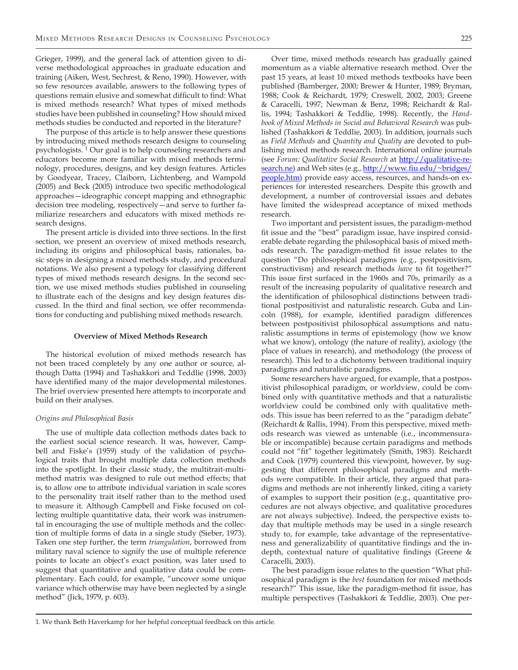Grieger, 1999), and the general lack of attention given to diverse methodological approaches in graduate education and training (Aiken, West, Sechrest, & Reno, 1990). However, with so few resources available, answers to the following types of questions remain elusive and somewhat difficult to find: What is mixed methods research? What types of mixed methods studies have been published in counseling? How should mixed methods studies be conducted and reported in the literature?

The purpose of this article is to help answer these questions by introducing mixed methods research designs to counseling psychologists. 1 Our goal is to help counseling researchers and educators become more familiar with mixed methods terminology, procedures, designs, and key design features. Articles by Goodyear, Tracey, Claiborn, Lichtenberg, and Wampold (2005) and Beck (2005) introduce two specific methodological approaches—ideographic concept mapping and ethnographic decision tree modeling, respectively—and serve to further familiarize researchers and educators with mixed methods research designs.

The present article is divided into three sections. In the first section, we present an overview of mixed methods research, including its origins and philosophical basis, rationales, basic steps in designing a mixed methods study, and procedural notations. We also present a typology for classifying different types of mixed methods research designs. In the second section, we use mixed methods studies published in counseling to illustrate each of the designs and key design features discussed. In the third and final section, we offer recommendations for conducting and publishing mixed methods research.

#### **Overview of Mixed Methods Research**

The historical evolution of mixed methods research has not been traced completely by any one author or source, although Datta (1994) and Tashakkori and Teddlie (1998, 2003) have identified many of the major developmental milestones. The brief overview presented here attempts to incorporate and build on their analyses.

## *Origins and Philosophical Basis*

The use of multiple data collection methods dates back to the earliest social science research. It was, however, Campbell and Fiske's (1959) study of the validation of psychological traits that brought multiple data collection methods into the spotlight. In their classic study, the multitrait-multimethod matrix was designed to rule out method effects; that is, to allow one to attribute individual variation in scale scores to the personality trait itself rather than to the method used to measure it. Although Campbell and Fiske focused on collecting multiple quantitative data, their work was instrumental in encouraging the use of multiple methods and the collection of multiple forms of data in a single study (Sieber, 1973). Taken one step further, the term *triangulation*, borrowed from military naval science to signify the use of multiple reference points to locate an object's exact position, was later used to suggest that quantitative and qualitative data could be complementary. Each could, for example, "uncover some unique variance which otherwise may have been neglected by a single method" (Jick, 1979, p. 603).

Over time, mixed methods research has gradually gained momentum as a viable alternative research method. Over the past 15 years, at least 10 mixed methods textbooks have been published (Bamberger, 2000; Brewer & Hunter, 1989; Bryman, 1988; Cook & Reichardt, 1979; Creswell, 2002, 2003; Greene & Caracelli, 1997; Newman & Benz, 1998; Reichardt & Rallis, 1994; Tashakkori & Teddlie, 1998). Recently, the *Handbook of Mixed Methods in Social and Behavioral Research* was published (Tashakkori & Teddlie, 2003). In addition, journals such as *Field Methods* and *Quantity and Quality* are devoted to publishing mixed methods research. International online journals (see *Forum: Qualitative Social Research* at http://qualitative-research.ne) and Web sites (e.g., http://www.fiu.edu/~bridges/ people.htm) provide easy access, resources, and hands-on experiences for interested researchers. Despite this growth and development, a number of controversial issues and debates have limited the widespread acceptance of mixed methods research.

Two important and persistent issues, the paradigm-method fit issue and the "best" paradigm issue, have inspired considerable debate regarding the philosophical basis of mixed methods research. The paradigm-method fit issue relates to the question "Do philosophical paradigms (e.g., postpositivism, constructivism) and research methods *have* to fit together?" This issue first surfaced in the 1960s and 70s, primarily as a result of the increasing popularity of qualitative research and the identification of philosophical distinctions between traditional postpositivist and naturalistic research. Guba and Lincoln (1988), for example, identified paradigm differences between postpositivist philosophical assumptions and naturalistic assumptions in terms of epistemology (how we know what we know), ontology (the nature of reality), axiology (the place of values in research), and methodology (the process of research). This led to a dichotomy between traditional inquiry paradigms and naturalistic paradigms.

Some researchers have argued, for example, that a postpositivist philosophical paradigm, or worldview, could be combined only with quantitative methods and that a naturalistic worldview could be combined only with qualitative methods. This issue has been referred to as the "paradigm debate" (Reichardt & Rallis, 1994). From this perspective, mixed methods research was viewed as untenable (i.e., incommensurable or incompatible) because certain paradigms and methods could not "fit" together legitimately (Smith, 1983). Reichardt and Cook (1979) countered this viewpoint, however, by suggesting that different philosophical paradigms and methods were compatible. In their article, they argued that paradigms and methods are not inherently linked, citing a variety of examples to support their position (e.g., quantitative procedures are not always objective, and qualitative procedures are not always subjective). Indeed, the perspective exists today that multiple methods may be used in a single research study to, for example, take advantage of the representativeness and generalizability of quantitative findings and the indepth, contextual nature of qualitative findings (Greene & Caracelli, 2003).

The best paradigm issue relates to the question "What philosophical paradigm is the *best* foundation for mixed methods research?" This issue, like the paradigm-method fit issue, has multiple perspectives (Tashakkori & Teddlie, 2003). One per-

<sup>1.</sup> We thank Beth Haverkamp for her helpful conceptual feedback on this article.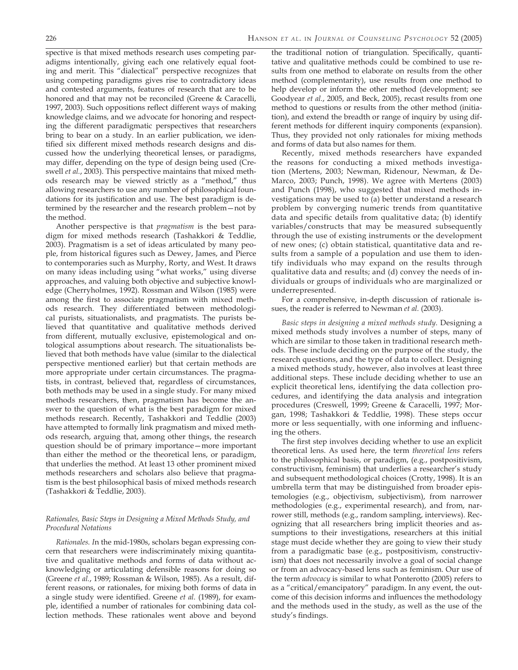spective is that mixed methods research uses competing paradigms intentionally, giving each one relatively equal footing and merit. This "dialectical" perspective recognizes that using competing paradigms gives rise to contradictory ideas and contested arguments, features of research that are to be honored and that may not be reconciled (Greene & Caracelli, 1997, 2003). Such oppositions reflect different ways of making knowledge claims, and we advocate for honoring and respecting the different paradigmatic perspectives that researchers bring to bear on a study. In an earlier publication, we identified six different mixed methods research designs and discussed how the underlying theoretical lenses, or paradigms, may differ, depending on the type of design being used (Creswell *et al.*, 2003). This perspective maintains that mixed methods research may be viewed strictly as a "method," thus allowing researchers to use any number of philosophical foundations for its justification and use. The best paradigm is determined by the researcher and the research problem—not by the method.

Another perspective is that *pragmatism* is the best paradigm for mixed methods research (Tashakkori & Teddlie, 2003). Pragmatism is a set of ideas articulated by many people, from historical figures such as Dewey, James, and Pierce to contemporaries such as Murphy, Rorty, and West. It draws on many ideas including using "what works," using diverse approaches, and valuing both objective and subjective knowledge (Cherryholmes, 1992). Rossman and Wilson (1985) were among the first to associate pragmatism with mixed methods research. They differentiated between methodological purists, situationalists, and pragmatists. The purists believed that quantitative and qualitative methods derived from different, mutually exclusive, epistemological and ontological assumptions about research. The situationalists believed that both methods have value (similar to the dialectical perspective mentioned earlier) but that certain methods are more appropriate under certain circumstances. The pragmatists, in contrast, believed that, regardless of circumstances, both methods may be used in a single study. For many mixed methods researchers, then, pragmatism has become the answer to the question of what is the best paradigm for mixed methods research. Recently, Tashakkori and Teddlie (2003) have attempted to formally link pragmatism and mixed methods research, arguing that, among other things, the research question should be of primary importance—more important than either the method or the theoretical lens, or paradigm, that underlies the method. At least 13 other prominent mixed methods researchers and scholars also believe that pragmatism is the best philosophical basis of mixed methods research (Tashakkori & Teddlie, 2003).

### *Rationales, Basic Steps in Designing a Mixed Methods Study, and Procedural Notations*

*Rationales. I*n the mid-1980s, scholars began expressing concern that researchers were indiscriminately mixing quantitative and qualitative methods and forms of data without acknowledging or articulating defensible reasons for doing so (Greene *et al.*, 1989; Rossman & Wilson, 1985). As a result, different reasons, or rationales, for mixing both forms of data in a single study were identified. Greene *et al.* (1989), for example, identified a number of rationales for combining data collection methods. These rationales went above and beyond

the traditional notion of triangulation. Specifically, quantitative and qualitative methods could be combined to use results from one method to elaborate on results from the other method (complementarity), use results from one method to help develop or inform the other method (development; see Goodyear *et al.*, 2005, and Beck, 2005), recast results from one method to questions or results from the other method (initiation), and extend the breadth or range of inquiry by using different methods for different inquiry components (expansion). Thus, they provided not only rationales for mixing methods and forms of data but also names for them.

Recently, mixed methods researchers have expanded the reasons for conducting a mixed methods investigation (Mertens, 2003; Newman, Ridenour, Newman, & De-Marco, 2003; Punch, 1998). We agree with Mertens (2003) and Punch (1998), who suggested that mixed methods investigations may be used to (a) better understand a research problem by converging numeric trends from quantitative data and specific details from qualitative data; (b) identify variables/constructs that may be measured subsequently through the use of existing instruments or the development of new ones; (c) obtain statistical, quantitative data and results from a sample of a population and use them to identify individuals who may expand on the results through qualitative data and results; and (d) convey the needs of individuals or groups of individuals who are marginalized or underrepresented.

For a comprehensive, in-depth discussion of rationale issues, the reader is referred to Newman *et al.* (2003).

*Basic steps in designing a mixed methods study.* Designing a mixed methods study involves a number of steps, many of which are similar to those taken in traditional research methods. These include deciding on the purpose of the study, the research questions, and the type of data to collect. Designing a mixed methods study, however, also involves at least three additional steps. These include deciding whether to use an explicit theoretical lens, identifying the data collection procedures, and identifying the data analysis and integration procedures (Creswell, 1999; Greene & Caracelli, 1997; Morgan, 1998; Tashakkori & Teddlie, 1998). These steps occur more or less sequentially, with one informing and influencing the others.

The first step involves deciding whether to use an explicit theoretical lens. As used here, the term *theoretical lens* refers to the philosophical basis, or paradigm, (e.g., postpositivism, constructivism, feminism) that underlies a researcher's study and subsequent methodological choices (Crotty, 1998). It is an umbrella term that may be distinguished from broader epistemologies (e.g., objectivism, subjectivism), from narrower methodologies (e.g., experimental research), and from, narrower still, methods (e.g., random sampling, interviews). Recognizing that all researchers bring implicit theories and assumptions to their investigations, researchers at this initial stage must decide whether they are going to view their study from a paradigmatic base (e.g., postpositivism, constructivism) that does not necessarily involve a goal of social change or from an advocacy-based lens such as feminism. Our use of the term *advocacy* is similar to what Ponterotto (2005) refers to as a "critical/emancipatory" paradigm. In any event, the outcome of this decision informs and influences the methodology and the methods used in the study, as well as the use of the study's findings.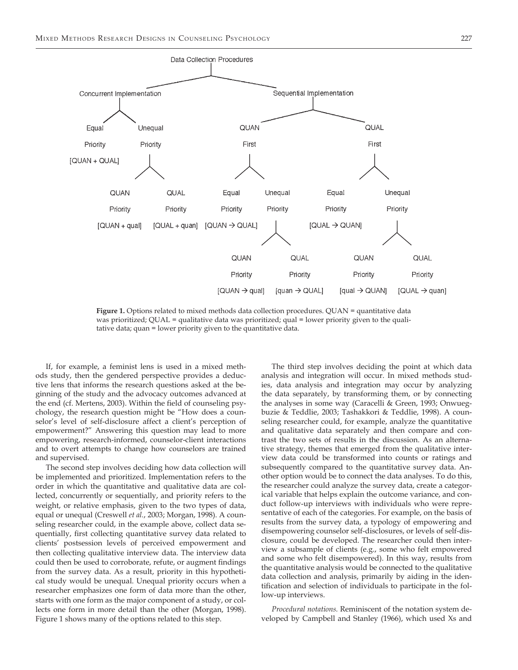

Figure 1. Options related to mixed methods data collection procedures. QUAN = quantitative data was prioritized; QUAL = qualitative data was prioritized; qual = lower priority given to the qualitative data; quan = lower priority given to the quantitative data.

If, for example, a feminist lens is used in a mixed methods study, then the gendered perspective provides a deductive lens that informs the research questions asked at the beginning of the study and the advocacy outcomes advanced at the end (cf. Mertens, 2003). Within the field of counseling psychology, the research question might be "How does a counselor's level of self-disclosure affect a client's perception of empowerment?" Answering this question may lead to more empowering, research-informed, counselor-client interactions and to overt attempts to change how counselors are trained and supervised.

The second step involves deciding how data collection will be implemented and prioritized. Implementation refers to the order in which the quantitative and qualitative data are collected, concurrently or sequentially, and priority refers to the weight, or relative emphasis, given to the two types of data, equal or unequal (Creswell *et al.*, 2003; Morgan, 1998). A counseling researcher could, in the example above, collect data sequentially, first collecting quantitative survey data related to clients' postsession levels of perceived empowerment and then collecting qualitative interview data. The interview data could then be used to corroborate, refute, or augment findings from the survey data. As a result, priority in this hypothetical study would be unequal. Unequal priority occurs when a researcher emphasizes one form of data more than the other, starts with one form as the major component of a study, or collects one form in more detail than the other (Morgan, 1998). Figure 1 shows many of the options related to this step.

The third step involves deciding the point at which data analysis and integration will occur. In mixed methods studies, data analysis and integration may occur by analyzing the data separately, by transforming them, or by connecting the analyses in some way (Caracelli & Green, 1993; Onwuegbuzie & Teddlie, 2003; Tashakkori & Teddlie, 1998). A counseling researcher could, for example, analyze the quantitative and qualitative data separately and then compare and contrast the two sets of results in the discussion. As an alternative strategy, themes that emerged from the qualitative interview data could be transformed into counts or ratings and subsequently compared to the quantitative survey data. Another option would be to connect the data analyses. To do this, the researcher could analyze the survey data, create a categorical variable that helps explain the outcome variance, and conduct follow-up interviews with individuals who were representative of each of the categories. For example, on the basis of results from the survey data, a typology of empowering and disempowering counselor self-disclosures, or levels of self-disclosure, could be developed. The researcher could then interview a subsample of clients (e.g., some who felt empowered and some who felt disempowered). In this way, results from the quantitative analysis would be connected to the qualitative data collection and analysis, primarily by aiding in the identification and selection of individuals to participate in the follow-up interviews.

*Procedural notations.* Reminiscent of the notation system developed by Campbell and Stanley (1966), which used Xs and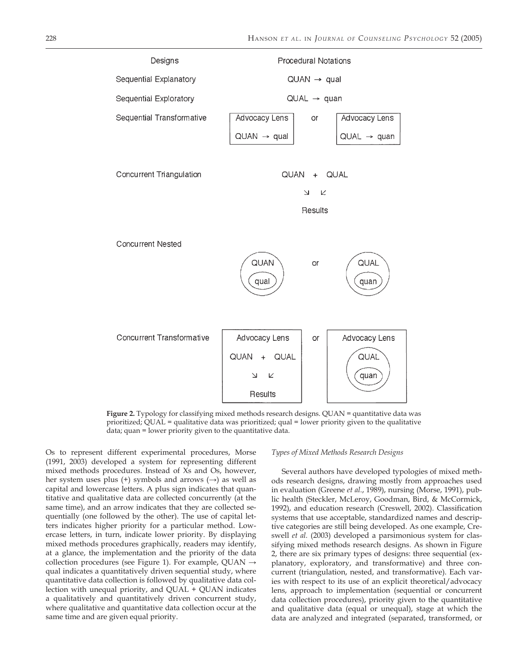

Figure 2. Typology for classifying mixed methods research designs. QUAN = quantitative data was prioritized; QUAL = qualitative data was prioritized; qual = lower priority given to the qualitative data; quan = lower priority given to the quantitative data.

Os to represent different experimental procedures, Morse (1991, 2003) developed a system for representing different mixed methods procedures. Instead of Xs and Os, however, her system uses plus (+) symbols and arrows  $(\rightarrow)$  as well as capital and lowercase letters. A plus sign indicates that quantitative and qualitative data are collected concurrently (at the same time), and an arrow indicates that they are collected sequentially (one followed by the other). The use of capital letters indicates higher priority for a particular method. Lowercase letters, in turn, indicate lower priority. By displaying mixed methods procedures graphically, readers may identify, at a glance, the implementation and the priority of the data collection procedures (see Figure 1). For example, QUAN  $\rightarrow$ qual indicates a quantitatively driven sequential study, where quantitative data collection is followed by qualitative data collection with unequal priority, and QUAL + QUAN indicates a qualitatively and quantitatively driven concurrent study, where qualitative and quantitative data collection occur at the same time and are given equal priority.

#### *Types of Mixed Methods Research Designs*

Several authors have developed typologies of mixed methods research designs, drawing mostly from approaches used in evaluation (Greene *et al.*, 1989), nursing (Morse, 1991), public health (Steckler, McLeroy, Goodman, Bird, & McCormick, 1992), and education research (Creswell, 2002). Classification systems that use acceptable, standardized names and descriptive categories are still being developed. As one example, Creswell *et al.* (2003) developed a parsimonious system for classifying mixed methods research designs. As shown in Figure 2, there are six primary types of designs: three sequential (explanatory, exploratory, and transformative) and three concurrent (triangulation, nested, and transformative). Each varies with respect to its use of an explicit theoretical/advocacy lens, approach to implementation (sequential or concurrent data collection procedures), priority given to the quantitative and qualitative data (equal or unequal), stage at which the data are analyzed and integrated (separated, transformed, or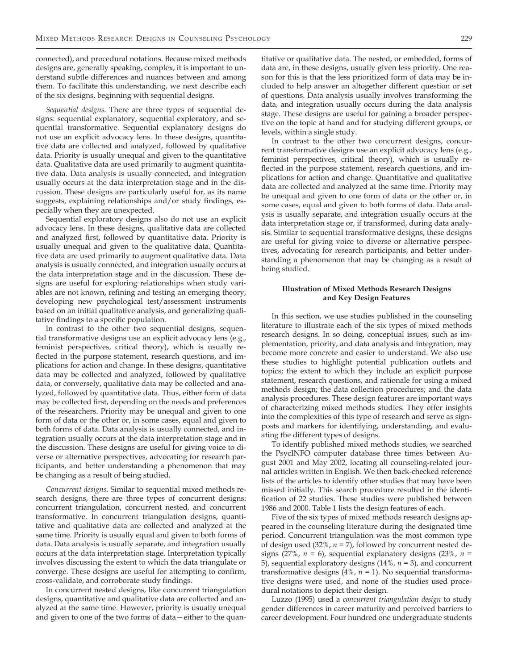connected), and procedural notations. Because mixed methods designs are, generally speaking, complex, it is important to understand subtle differences and nuances between and among them. To facilitate this understanding, we next describe each of the six designs, beginning with sequential designs.

*Sequential designs.* There are three types of sequential designs: sequential explanatory, sequential exploratory, and sequential transformative. Sequential explanatory designs do not use an explicit advocacy lens. In these designs, quantitative data are collected and analyzed, followed by qualitative data. Priority is usually unequal and given to the quantitative data. Qualitative data are used primarily to augment quantitative data. Data analysis is usually connected, and integration usually occurs at the data interpretation stage and in the discussion. These designs are particularly useful for, as its name suggests, explaining relationships and/or study findings, especially when they are unexpected.

Sequential exploratory designs also do not use an explicit advocacy lens. In these designs, qualitative data are collected and analyzed first, followed by quantitative data. Priority is usually unequal and given to the qualitative data. Quantitative data are used primarily to augment qualitative data. Data analysis is usually connected, and integration usually occurs at the data interpretation stage and in the discussion. These designs are useful for exploring relationships when study variables are not known, refining and testing an emerging theory, developing new psychological test/assessment instruments based on an initial qualitative analysis, and generalizing qualitative findings to a specific population.

In contrast to the other two sequential designs, sequential transformative designs use an explicit advocacy lens (e.g., feminist perspectives, critical theory), which is usually reflected in the purpose statement, research questions, and implications for action and change. In these designs, quantitative data may be collected and analyzed, followed by qualitative data, or conversely, qualitative data may be collected and analyzed, followed by quantitative data. Thus, either form of data may be collected first, depending on the needs and preferences of the researchers. Priority may be unequal and given to one form of data or the other or, in some cases, equal and given to both forms of data. Data analysis is usually connected, and integration usually occurs at the data interpretation stage and in the discussion. These designs are useful for giving voice to diverse or alternative perspectives, advocating for research participants, and better understanding a phenomenon that may be changing as a result of being studied.

*Concurrent designs.* Similar to sequential mixed methods research designs, there are three types of concurrent designs: concurrent triangulation, concurrent nested, and concurrent transformative. In concurrent triangulation designs, quantitative and qualitative data are collected and analyzed at the same time. Priority is usually equal and given to both forms of data. Data analysis is usually separate, and integration usually occurs at the data interpretation stage. Interpretation typically involves discussing the extent to which the data triangulate or converge. These designs are useful for attempting to confirm, cross-validate, and corroborate study findings.

In concurrent nested designs, like concurrent triangulation designs, quantitative and qualitative data are collected and analyzed at the same time. However, priority is usually unequal and given to one of the two forms of data—either to the quan-

titative or qualitative data. The nested, or embedded, forms of data are, in these designs, usually given less priority. One reason for this is that the less prioritized form of data may be included to help answer an altogether different question or set of questions. Data analysis usually involves transforming the data, and integration usually occurs during the data analysis stage. These designs are useful for gaining a broader perspective on the topic at hand and for studying different groups, or levels, within a single study.

In contrast to the other two concurrent designs, concurrent transformative designs use an explicit advocacy lens (e.g., feminist perspectives, critical theory), which is usually reflected in the purpose statement, research questions, and implications for action and change. Quantitative and qualitative data are collected and analyzed at the same time. Priority may be unequal and given to one form of data or the other or, in some cases, equal and given to both forms of data. Data analysis is usually separate, and integration usually occurs at the data interpretation stage or, if transformed, during data analysis. Similar to sequential transformative designs, these designs are useful for giving voice to diverse or alternative perspectives, advocating for research participants, and better understanding a phenomenon that may be changing as a result of being studied.

## **Illustration of Mixed Methods Research Designs and Key Design Features**

In this section, we use studies published in the counseling literature to illustrate each of the six types of mixed methods research designs. In so doing, conceptual issues, such as implementation, priority, and data analysis and integration, may become more concrete and easier to understand. We also use these studies to highlight potential publication outlets and topics; the extent to which they include an explicit purpose statement, research questions, and rationale for using a mixed methods design; the data collection procedures; and the data analysis procedures. These design features are important ways of characterizing mixed methods studies. They offer insights into the complexities of this type of research and serve as signposts and markers for identifying, understanding, and evaluating the different types of designs.

To identify published mixed methods studies, we searched the PsycINFO computer database three times between August 2001 and May 2002, locating all counseling-related journal articles written in English. We then back-checked reference lists of the articles to identify other studies that may have been missed initially. This search procedure resulted in the identification of 22 studies. These studies were published between 1986 and 2000. Table 1 lists the design features of each.

Five of the six types of mixed methods research designs appeared in the counseling literature during the designated time period. Concurrent triangulation was the most common type of design used (32%, *n* = 7), followed by concurrent nested designs (27%, *n* = 6), sequential explanatory designs (23%, *n* = 5), sequential exploratory designs (14%, *n* = 3), and concurrent transformative designs (4%, *n* = 1). No sequential transformative designs were used, and none of the studies used procedural notations to depict their design.

Luzzo (1995) used a *concurrent triangulation design* to study gender differences in career maturity and perceived barriers to career development. Four hundred one undergraduate students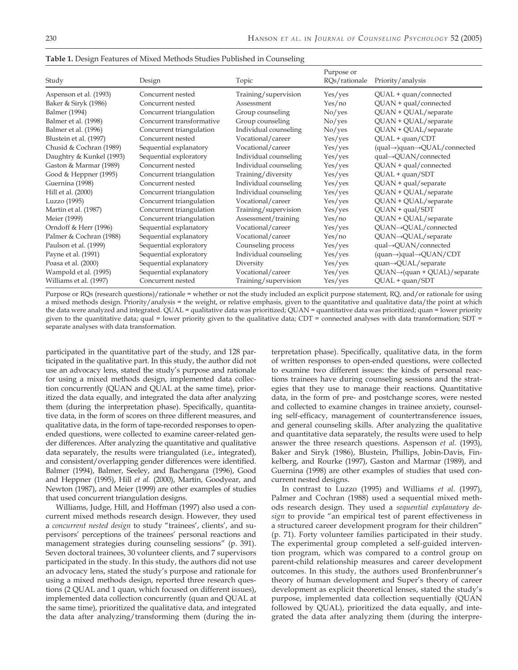| Study                    | Topic<br>Design           |                       | Purpose or<br>RQs/rationale | Priority/analysis                                      |  |
|--------------------------|---------------------------|-----------------------|-----------------------------|--------------------------------------------------------|--|
| Aspenson et al. (1993)   | Concurrent nested         | Training/supervision  | Yes/yes                     | QUAL + quan/connected                                  |  |
| Baker & Siryk (1986)     | Concurrent nested         | Assessment            | Yes/no                      | QUAN + qual/connected                                  |  |
| Balmer (1994)            | Concurrent triangulation  | Group counseling      | Noives                      | QUAN + QUAL/separate                                   |  |
| Balmer et al. (1998)     | Concurrent transformative | Group counseling      | Noives                      | QUAN + QUAL/separate                                   |  |
| Balmer et al. (1996)     | Concurrent triangulation  | Individual counseling | Noives                      | QUAN + QUAL/separate                                   |  |
| Blustein et al. (1997)   | Concurrent nested         | Vocational/career     | Yes/yes                     | $QUAL + quan/CDT$                                      |  |
| Chusid & Cochran (1989)  | Sequential explanatory    | Vocational/career     | Yes/yes                     | $(qual \rightarrow)$ quan $\rightarrow$ QUAL/connected |  |
| Daughtry & Kunkel (1993) | Sequential exploratory    | Individual counseling | Yes/yes                     | qual→QUAN/connected                                    |  |
| Gaston & Marmar (1989)   | Concurrent nested         | Individual counseling | Yes/yes                     | QUAN + qual/connected                                  |  |
| Good & Heppner (1995)    | Concurrent triangulation  | Training/diversity    | Yes/yes                     | $QUAL + quan/SDT$                                      |  |
| Guernina (1998)          | Concurrent nested         | Individual counseling | Yes/yes                     | $QUAN + qual/separate$                                 |  |
| Hill et al. (2000)       | Concurrent triangulation  | Individual counseling | Yes/yes                     | QUAN + QUAL/separate                                   |  |
| Luzzo (1995)             | Concurrent triangulation  | Vocational/career     | Yes/yes                     | QUAN + QUAL/separate                                   |  |
| Martin et al. (1987)     | Concurrent triangulation  | Training/supervision  | Yes/yes                     | $QUAN + qual/SDT$                                      |  |
| Meier (1999)             | Concurrent triangulation  | Assessment/training   | Yes/no                      | QUAN + QUAL/separate                                   |  |
| Orndoff & Herr (1996)    | Sequential explanatory    | Vocational/career     | Yes/yes                     | QUAN→QUAL/connected                                    |  |
| Palmer & Cochran (1988)  | Sequential explanatory    | Vocational/career     | Yes/no                      | QUAN→QUAL/separate                                     |  |
| Paulson et al. (1999)    | Sequential exploratory    | Counseling process    | Yes/yes                     | qual→QUAN/connected                                    |  |
| Payne et al. (1991)      | Sequential exploratory    | Individual counseling | Yes/yes                     | (quan→)qual→QUAN/CDT                                   |  |
| Poasa et al. (2000)      | Sequential explanatory    | Diversity             | Yes/yes                     | quan→QUAL/separate                                     |  |
| Wampold et al. (1995)    | Sequential explanatory    | Vocational/career     | Yes/yes                     | $QUAN \rightarrow (quant + QUAL)/separate$             |  |
| Williams et al. (1997)   | Concurrent nested         | Training/supervision  | Yes/yes                     | $QUAL + quan/SDT$                                      |  |

| Table 1. Design Features of Mixed Methods Studies Published in Counseling |  |  |  |  |  |
|---------------------------------------------------------------------------|--|--|--|--|--|
|---------------------------------------------------------------------------|--|--|--|--|--|

Purpose or RQs (research questions)/rationale = whether or not the study included an explicit purpose statement, RQ, and/or rationale for using a mixed methods design. Priority/analysis = the weight, or relative emphasis, given to the quantitative and qualitative data/the point at which the data were analyzed and integrated. QUAL = qualitative data was prioritized; QUAN = quantitative data was prioritized; quan = lower priority given to the quantitative data; qual = lower priority given to the qualitative data; CDT = connected analyses with data transformation; SDT = separate analyses with data transformation.

participated in the quantitative part of the study, and 128 participated in the qualitative part. In this study, the author did not use an advocacy lens, stated the study's purpose and rationale for using a mixed methods design, implemented data collection concurrently (QUAN and QUAL at the same time), prioritized the data equally, and integrated the data after analyzing them (during the interpretation phase). Specifically, quantitative data, in the form of scores on three different measures, and qualitative data, in the form of tape-recorded responses to openended questions, were collected to examine career-related gender differences. After analyzing the quantitative and qualitative data separately, the results were triangulated (i.e., integrated), and consistent/overlapping gender differences were identified. Balmer (1994), Balmer, Seeley, and Bachengana (1996), Good and Heppner (1995), Hill *et al.* (2000), Martin, Goodyear, and Newton (1987), and Meier (1999) are other examples of studies that used concurrent triangulation designs.

Williams, Judge, Hill, and Hoffman (1997) also used a concurrent mixed methods research design. However, they used a *concurrent nested design* to study "trainees', clients', and supervisors' perceptions of the trainees' personal reactions and management strategies during counseling sessions" (p. 391). Seven doctoral trainees, 30 volunteer clients, and 7 supervisors participated in the study. In this study, the authors did not use an advocacy lens, stated the study's purpose and rationale for using a mixed methods design, reported three research questions (2 QUAL and 1 quan, which focused on different issues), implemented data collection concurrently (quan and QUAL at the same time), prioritized the qualitative data, and integrated the data after analyzing/transforming them (during the in-

terpretation phase). Specifically, qualitative data, in the form of written responses to open-ended questions, were collected to examine two different issues: the kinds of personal reactions trainees have during counseling sessions and the strategies that they use to manage their reactions. Quantitative data, in the form of pre- and postchange scores, were nested and collected to examine changes in trainee anxiety, counseling self-efficacy, management of countertransference issues, and general counseling skills. After analyzing the qualitative and quantitative data separately, the results were used to help answer the three research questions. Aspenson *et al.* (1993), Baker and Siryk (1986), Blustein, Phillips, Jobin-Davis, Finkelberg, and Rourke (1997), Gaston and Marmar (1989), and Guernina (1998) are other examples of studies that used concurrent nested designs.

In contrast to Luzzo (1995) and Williams *et al.* (1997), Palmer and Cochran (1988) used a sequential mixed methods research design. They used a *sequential explanatory design* to provide "an empirical test of parent effectiveness in a structured career development program for their children" (p. 71). Forty volunteer families participated in their study. The experimental group completed a self-guided intervention program, which was compared to a control group on parent-child relationship measures and career development outcomes. In this study, the authors used Bronfenbrunner's theory of human development and Super's theory of career development as explicit theoretical lenses, stated the study's purpose, implemented data collection sequentially (QUAN followed by QUAL), prioritized the data equally, and integrated the data after analyzing them (during the interpre-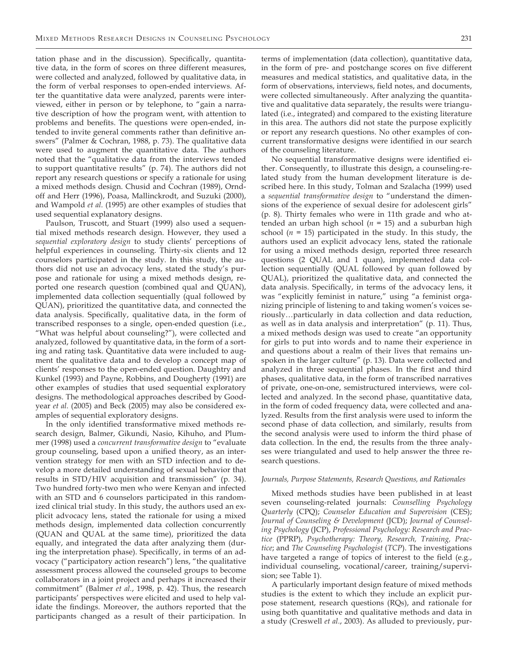tation phase and in the discussion). Specifically, quantitative data, in the form of scores on three different measures, were collected and analyzed, followed by qualitative data, in the form of verbal responses to open-ended interviews. After the quantitative data were analyzed, parents were interviewed, either in person or by telephone, to "gain a narrative description of how the program went, with attention to problems and benefits. The questions were open-ended, intended to invite general comments rather than definitive answers" (Palmer & Cochran, 1988, p. 73). The qualitative data were used to augment the quantitative data. The authors noted that the "qualitative data from the interviews tended to support quantitative results" (p. 74). The authors did not report any research questions or specify a rationale for using a mixed methods design. Chusid and Cochran (1989), Orndoff and Herr (1996), Poasa, Mallinckrodt, and Suzuki (2000), and Wampold *et al.* (1995) are other examples of studies that used sequential explanatory designs.

Paulson, Truscott, and Stuart (1999) also used a sequential mixed methods research design. However, they used a *sequential exploratory design* to study clients' perceptions of helpful experiences in counseling. Thirty-six clients and 12 counselors participated in the study. In this study, the authors did not use an advocacy lens, stated the study's purpose and rationale for using a mixed methods design, reported one research question (combined qual and QUAN), implemented data collection sequentially (qual followed by QUAN), prioritized the quantitative data, and connected the data analysis. Specifically, qualitative data, in the form of transcribed responses to a single, open-ended question (i.e., "What was helpful about counseling?"), were collected and analyzed, followed by quantitative data, in the form of a sorting and rating task. Quantitative data were included to augment the qualitative data and to develop a concept map of clients' responses to the open-ended question. Daughtry and Kunkel (1993) and Payne, Robbins, and Dougherty (1991) are other examples of studies that used sequential exploratory designs. The methodological approaches described by Goodyear *et al.* (2005) and Beck (2005) may also be considered examples of sequential exploratory designs.

In the only identified transformative mixed methods research design, Balmer, Gikundi, Nasio, Kihuho, and Plummer (1998) used a *concurrent transformative design* to "evaluate group counseling, based upon a unified theory, as an intervention strategy for men with an STD infection and to develop a more detailed understanding of sexual behavior that results in STD/HIV acquisition and transmission" (p. 34). Two hundred forty-two men who were Kenyan and infected with an STD and 6 counselors participated in this randomized clinical trial study. In this study, the authors used an explicit advocacy lens, stated the rationale for using a mixed methods design, implemented data collection concurrently (QUAN and QUAL at the same time), prioritized the data equally, and integrated the data after analyzing them (during the interpretation phase). Specifically, in terms of an advocacy ("participatory action research") lens, "the qualitative assessment process allowed the counseled groups to become collaborators in a joint project and perhaps it increased their commitment" (Balmer *et al.*, 1998, p. 42). Thus, the research participants' perspectives were elicited and used to help validate the findings. Moreover, the authors reported that the participants changed as a result of their participation. In

terms of implementation (data collection), quantitative data, in the form of pre- and postchange scores on five different measures and medical statistics, and qualitative data, in the form of observations, interviews, field notes, and documents, were collected simultaneously. After analyzing the quantitative and qualitative data separately, the results were triangulated (i.e., integrated) and compared to the existing literature in this area. The authors did not state the purpose explicitly or report any research questions. No other examples of concurrent transformative designs were identified in our search of the counseling literature.

No sequential transformative designs were identified either. Consequently, to illustrate this design, a counseling-related study from the human development literature is described here. In this study, Tolman and Szalacha (1999) used a *sequential transformative design* to "understand the dimensions of the experience of sexual desire for adolescent girls" (p. 8). Thirty females who were in 11th grade and who attended an urban high school (*n* = 15) and a suburban high school ( $n = 15$ ) participated in the study. In this study, the authors used an explicit advocacy lens, stated the rationale for using a mixed methods design, reported three research questions (2 QUAL and 1 quan), implemented data collection sequentially (QUAL followed by quan followed by QUAL), prioritized the qualitative data, and connected the data analysis. Specifically, in terms of the advocacy lens, it was "explicitly feminist in nature," using "a feminist organizing principle of listening to and taking women's voices seriously…particularly in data collection and data reduction, as well as in data analysis and interpretation" (p. 11). Thus, a mixed methods design was used to create "an opportunity for girls to put into words and to name their experience in and questions about a realm of their lives that remains unspoken in the larger culture" (p. 13). Data were collected and analyzed in three sequential phases. In the first and third phases, qualitative data, in the form of transcribed narratives of private, one-on-one, semistructured interviews, were collected and analyzed. In the second phase, quantitative data, in the form of coded frequency data, were collected and analyzed. Results from the first analysis were used to inform the second phase of data collection, and similarly, results from the second analysis were used to inform the third phase of data collection. In the end, the results from the three analyses were triangulated and used to help answer the three research questions.

## *Journals, Purpose Statements, Research Questions, and Rationales*

Mixed methods studies have been published in at least seven counseling-related journals: *Counselling Psychology Quarterly* (CPQ); *Counselor Education and Supervision* (CES); *Journal of Counseling & Development* (JCD); *Journal of Counseling Psychology* (JCP), *Professional Psychology: Research and Practice* (PPRP), *Psychotherapy: Theory, Research, Training, Practice*; and *The Counseling Psychologist* (*TCP*). The investigations have targeted a range of topics of interest to the field (e.g., individual counseling, vocational/career, training/supervision; see Table 1).

A particularly important design feature of mixed methods studies is the extent to which they include an explicit purpose statement, research questions (RQs), and rationale for using both quantitative and qualitative methods and data in a study (Creswell *et al.*, 2003). As alluded to previously, pur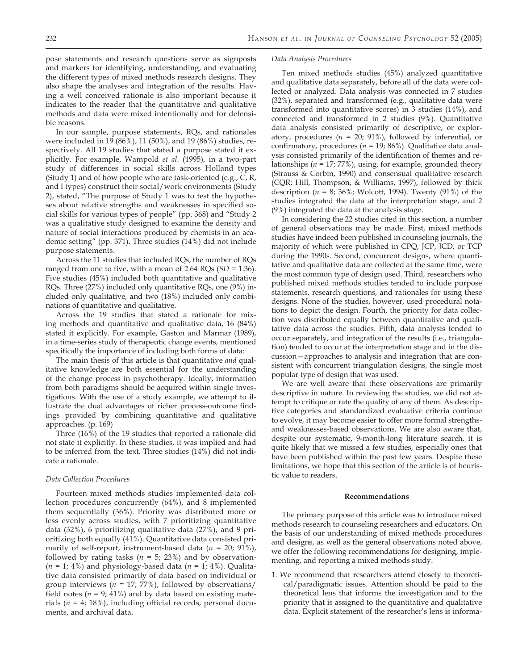pose statements and research questions serve as signposts and markers for identifying, understanding, and evaluating the different types of mixed methods research designs. They also shape the analyses and integration of the results. Having a well conceived rationale is also important because it indicates to the reader that the quantitative and qualitative methods and data were mixed intentionally and for defensible reasons.

In our sample, purpose statements, RQs, and rationales were included in 19 (86%), 11 (50%), and 19 (86%) studies, respectively. All 19 studies that stated a purpose stated it explicitly. For example, Wampold *et al.* (1995), in a two-part study of differences in social skills across Holland types (Study 1) and of how people who are task-oriented (e.g., C, R, and I types) construct their social/work environments (Study 2), stated, "The purpose of Study 1 was to test the hypotheses about relative strengths and weaknesses in specified social skills for various types of people" (pp. 368) and "Study 2 was a qualitative study designed to examine the density and nature of social interactions produced by chemists in an academic setting" (pp. 371). Three studies (14%) did not include purpose statements.

Across the 11 studies that included RQs, the number of RQs ranged from one to five, with a mean of 2.64 RQs (*SD* = 1.36). Five studies (45%) included both quantitative and qualitative RQs. Three (27%) included only quantitative RQs, one (9%) included only qualitative, and two (18%) included only combinations of quantitative and qualitative.

Across the 19 studies that stated a rationale for mixing methods and quantitative and qualitative data, 16 (84%) stated it explicitly. For example, Gaston and Marmar (1989), in a time-series study of therapeutic change events, mentioned specifically the importance of including both forms of data:

The main thesis of this article is that quantitative *and* qualitative knowledge are both essential for the understanding of the change process in psychotherapy. Ideally, information from both paradigms should be acquired within single investigations. With the use of a study example, we attempt to illustrate the dual advantages of richer process-outcome findings provided by combining quantitative and qualitative approaches. (p. 169)

Three (16%) of the 19 studies that reported a rationale did not state it explicitly. In these studies, it was implied and had to be inferred from the text. Three studies (14%) did not indicate a rationale.

#### *Data Collection Procedures*

Fourteen mixed methods studies implemented data collection procedures concurrently (64%), and 8 implemented them sequentially (36%). Priority was distributed more or less evenly across studies, with 7 prioritizing quantitative data (32%), 6 prioritizing qualitative data (27%), and 9 prioritizing both equally (41%). Quantitative data consisted primarily of self-report, instrument-based data (*n* = 20; 91%), followed by rating tasks ( $n = 5$ ; 23%) and by observation-(*n* = 1; 4%) and physiology-based data (*n* = 1; 4%). Qualitative data consisted primarily of data based on individual or group interviews (*n =* 17; 77%), followed by observations/ field notes ( $n = 9$ ; 41%) and by data based on existing materials (*n* = 4; 18%), including official records, personal documents, and archival data.

#### *Data Analysis Procedures*

Ten mixed methods studies (45%) analyzed quantitative and qualitative data separately, before all of the data were collected or analyzed. Data analysis was connected in 7 studies (32%), separated and transformed (e.g., qualitative data were transformed into quantitative scores) in 3 studies (14%), and connected and transformed in 2 studies (9%). Quantitative data analysis consisted primarily of descriptive, or exploratory, procedures (*n* = 20; 91%), followed by inferential, or confirmatory, procedures (*n* = 19; 86%). Qualitative data analysis consisted primarily of the identification of themes and relationships (*n* = 17; 77%), using, for example, grounded theory (Strauss & Corbin, 1990) and consensual qualitative research (CQR; Hill, Thompson, & Williams, 1997), followed by thick description (*n* = 8; 36%; Wolcott, 1994). Twenty (91%) of the studies integrated the data at the interpretation stage, and 2 (9%) integrated the data at the analysis stage.

In considering the 22 studies cited in this section, a number of general observations may be made. First, mixed methods studies have indeed been published in counseling journals, the majority of which were published in CPQ, JCP, JCD, or TCP during the 1990s. Second, concurrent designs, where quantitative and qualitative data are collected at the same time, were the most common type of design used. Third, researchers who published mixed methods studies tended to include purpose statements, research questions, and rationales for using these designs. None of the studies, however, used procedural notations to depict the design. Fourth, the priority for data collection was distributed equally between quantitative and qualitative data across the studies. Fifth, data analysis tended to occur separately, and integration of the results (i.e., triangulation) tended to occur at the interpretation stage and in the discussion—approaches to analysis and integration that are consistent with concurrent triangulation designs, the single most popular type of design that was used.

We are well aware that these observations are primarily descriptive in nature. In reviewing the studies, we did not attempt to critique or rate the quality of any of them. As descriptive categories and standardized evaluative criteria continue to evolve, it may become easier to offer more formal strengthsand weaknesses-based observations. We are also aware that, despite our systematic, 9-month-long literature search, it is quite likely that we missed a few studies, especially ones that have been published within the past few years. Despite these limitations, we hope that this section of the article is of heuristic value to readers.

#### **Recommendations**

The primary purpose of this article was to introduce mixed methods research to counseling researchers and educators. On the basis of our understanding of mixed methods procedures and designs, as well as the general observations noted above, we offer the following recommendations for designing, implementing, and reporting a mixed methods study.

1. We recommend that researchers attend closely to theoretical/paradigmatic issues. Attention should be paid to the theoretical lens that informs the investigation and to the priority that is assigned to the quantitative and qualitative data. Explicit statement of the researcher's lens is informa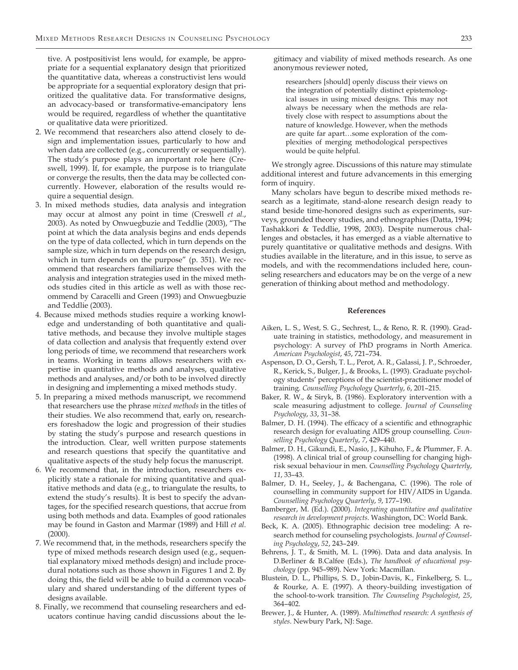tive. A postpositivist lens would, for example, be appropriate for a sequential explanatory design that prioritized the quantitative data, whereas a constructivist lens would be appropriate for a sequential exploratory design that prioritized the qualitative data. For transformative designs, an advocacy-based or transformative-emancipatory lens would be required, regardless of whether the quantitative or qualitative data were prioritized.

- 2. We recommend that researchers also attend closely to design and implementation issues, particularly to how and when data are collected (e.g., concurrently or sequentially). The study's purpose plays an important role here (Creswell, 1999). If, for example, the purpose is to triangulate or converge the results, then the data may be collected concurrently. However, elaboration of the results would require a sequential design.
- 3. In mixed methods studies, data analysis and integration may occur at almost any point in time (Creswell *et al.*, 2003). As noted by Onwuegbuzie and Teddlie (2003), "The point at which the data analysis begins and ends depends on the type of data collected, which in turn depends on the sample size, which in turn depends on the research design, which in turn depends on the purpose" (p. 351). We recommend that researchers familiarize themselves with the analysis and integration strategies used in the mixed methods studies cited in this article as well as with those recommend by Caracelli and Green (1993) and Onwuegbuzie and Teddlie (2003).
- 4. Because mixed methods studies require a working knowledge and understanding of both quantitative and qualitative methods, and because they involve multiple stages of data collection and analysis that frequently extend over long periods of time, we recommend that researchers work in teams. Working in teams allows researchers with expertise in quantitative methods and analyses, qualitative methods and analyses, and/or both to be involved directly in designing and implementing a mixed methods study.
- 5. In preparing a mixed methods manuscript, we recommend that researchers use the phrase *mixed methods* in the titles of their studies. We also recommend that, early on, researchers foreshadow the logic and progression of their studies by stating the study's purpose and research questions in the introduction. Clear, well written purpose statements and research questions that specify the quantitative and qualitative aspects of the study help focus the manuscript.
- 6. We recommend that, in the introduction, researchers explicitly state a rationale for mixing quantitative and qualitative methods and data (e.g., to triangulate the results, to extend the study's results). It is best to specify the advantages, for the specified research questions, that accrue from using both methods and data. Examples of good rationales may be found in Gaston and Marmar (1989) and Hill *et al.* (2000).
- 7. We recommend that, in the methods, researchers specify the type of mixed methods research design used (e.g., sequential explanatory mixed methods design) and include procedural notations such as those shown in Figures 1 and 2. By doing this, the field will be able to build a common vocabulary and shared understanding of the different types of designs available.
- 8. Finally, we recommend that counseling researchers and educators continue having candid discussions about the le-

gitimacy and viability of mixed methods research. As one anonymous reviewer noted,

researchers [should] openly discuss their views on the integration of potentially distinct epistemological issues in using mixed designs. This may not always be necessary when the methods are relatively close with respect to assumptions about the nature of knowledge. However, when the methods are quite far apart…some exploration of the complexities of merging methodological perspectives would be quite helpful.

We strongly agree. Discussions of this nature may stimulate additional interest and future advancements in this emerging form of inquiry.

Many scholars have begun to describe mixed methods research as a legitimate, stand-alone research design ready to stand beside time-honored designs such as experiments, surveys, grounded theory studies, and ethnographies (Datta, 1994; Tashakkori & Teddlie, 1998, 2003). Despite numerous challenges and obstacles, it has emerged as a viable alternative to purely quantitative or qualitative methods and designs. With studies available in the literature, and in this issue, to serve as models, and with the recommendations included here, counseling researchers and educators may be on the verge of a new generation of thinking about method and methodology.

## **References**

- Aiken, L. S., West, S. G., Sechrest, L., & Reno, R. R. (1990). Graduate training in statistics, methodology, and measurement in psychology: A survey of PhD programs in North America. *American Psychologist*, *45*, 721–734.
- Aspenson, D. O., Gersh, T. L., Perot, A. R., Galassi, J. P., Schroeder, R., Kerick, S., Bulger, J., & Brooks, L. (1993). Graduate psychology students' perceptions of the scientist-practitioner model of training. *Counselling Psychology Quarterly*, *6*, 201–215.
- Baker, R. W., & Siryk, B. (1986). Exploratory intervention with a scale measuring adjustment to college. *Journal of Counseling Psychology*, *33*, 31–38.
- Balmer, D. H. (1994). The efficacy of a scientific and ethnographic research design for evaluating AIDS group counselling. *Counselling Psychology Quarterly*, *7*, 429–440.
- Balmer, D. H., Gikundi, E., Nasio, J., Kihuho, F., & Plummer, F. A. (1998). A clinical trial of group counselling for changing highrisk sexual behaviour in men. *Counselling Psychology Quarterly*, *11*, 33–43.
- Balmer, D. H., Seeley, J., & Bachengana, C. (1996). The role of counselling in community support for HIV/AIDS in Uganda. *Counselling Psychology Quarterly*, *9*, 177–190.
- Bamberger, M. (Ed.). (2000). *Integrating quantitative and qualitative research in development projects*. Washington, DC: World Bank.
- Beck, K. A. (2005). Ethnographic decision tree modeling: A research method for counseling psychologists. *Journal of Counseling Psychology*, *52*, 243–249.
- Behrens, J. T., & Smith, M. L. (1996). Data and data analysis. In D.Berliner & B.Calfee (Eds.), *The handbook of educational psychology* (pp. 945–989). New York: Macmillan.
- Blustein, D. L., Phillips, S. D., Jobin-Davis, K., Finkelberg, S. L., & Rourke, A. E. (1997). A theory-building investigation of the school-to-work transition. *The Counseling Psychologist*, *25*, 364–402.
- Brewer, J., & Hunter, A. (1989). *Multimethod research: A synthesis of styles*. Newbury Park, NJ: Sage.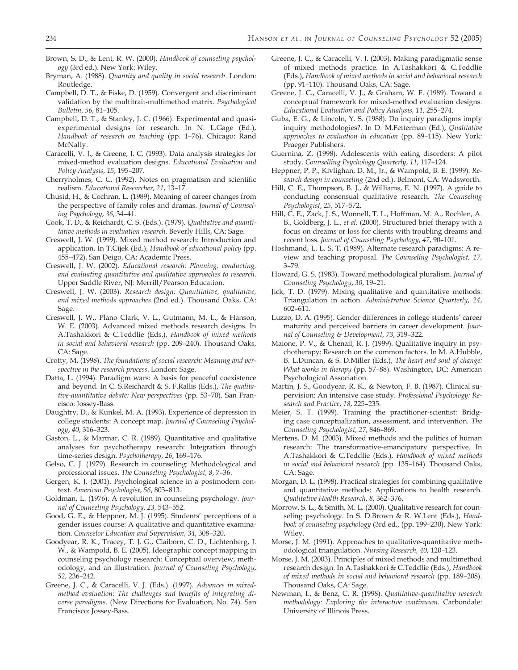- Brown, S. D., & Lent, R. W. (2000). *Handbook of counseling psychology* (3rd ed.). New York: Wiley.
- Bryman, A. (1988). *Quantity and quality in social research*. London: Routledge.
- Campbell, D. T., & Fiske, D. (1959). Convergent and discriminant validation by the multitrait-multimethod matrix. *Psychological Bulletin*, *56*, 81–105.
- Campbell, D. T., & Stanley, J. C. (1966). Experimental and quasiexperimental designs for research. In N. L.Gage (Ed.), *Handbook of research on teaching* (pp. 1–76). Chicago: Rand McNally.
- Caracelli, V. J., & Greene, J. C. (1993). Data analysis strategies for mixed-method evaluation designs. *Educational Evaluation and Policy Analysis*, *15*, 195–207.
- Cherryholmes, C. C. (1992). Notes on pragmatism and scientific realism. *Educational Researcher*, *21*, 13–17.
- Chusid, H., & Cochran, L. (1989). Meaning of career changes from the perspective of family roles and dramas. *Journal of Counseling Psychology*, *36*, 34–41.
- Cook, T. D., & Reichardt, C. S. (Eds.). (1979). *Qualitative and quantitative methods in evaluation research*. Beverly Hills, CA: Sage.
- Creswell, J. W. (1999). Mixed method research: Introduction and application. In T.Cijek (Ed.), *Handbook of educational policy* (pp. 455–472). San Deigo, CA: Academic Press.
- Creswell, J. W. (2002). *Educational research: Planning, conducting, and evaluating quantitative and qualitative approaches to research*. Upper Saddle River, NJ: Merrill/Pearson Education.
- Creswell, J. W. (2003). *Research design: Quantitative, qualitative, and mixed methods approaches* (2nd ed.). Thousand Oaks, CA: Sage.
- Creswell, J. W., Plano Clark, V. L., Gutmann, M. L., & Hanson, W. E. (2003). Advanced mixed methods research designs. In A.Tashakkori & C.Teddlie (Eds.), *Handbook of mixed methods in social and behavioral research* (pp. 209–240). Thousand Oaks, CA: Sage.
- Crotty, M. (1998). *The foundations of social research: Meaning and perspective in the research process*. London: Sage.
- Datta, L. (1994). Paradigm wars: A basis for peaceful coexistence and beyond. In C. S.Reichardt & S. F.Rallis (Eds.), *The qualitative-quantitative debate: New perspectives* (pp. 53–70). San Francisco: Jossey-Bass.
- Daughtry, D., & Kunkel, M. A. (1993). Experience of depression in college students: A concept map. *Journal of Counseling Psychology*, *40*, 316–323.
- Gaston, L., & Marmar, C. R. (1989). Quantitative and qualitative analyses for psychotherapy research: Integration through time-series design. *Psychotherapy*, *26*, 169–176.
- Gelso, C. J. (1979). Research in counseling: Methodological and professional issues. *The Counseling Psychologist*, *8*, 7–36.
- Gergen, K. J. (2001). Psychological science in a postmodern context. *American Psychologist*, *56*, 803–813.
- Goldman, L. (1976). A revolution in counseling psychology. *Journal of Counseling Psychology*, *23*, 543–552.
- Good, G. E., & Heppner, M. J. (1995). Students' perceptions of a gender issues course: A qualitative and quantitative examination. *Counselor Education and Supervision*, *34*, 308–320.
- Goodyear, R. K., Tracey, T. J. G., Claiborn, C. D., Lichtenberg, J. W., & Wampold, B. E. (2005). Ideographic concept mapping in counseling psychology research: Conceptual overview, methodology, and an illustration. *Journal of Counseling Psychology*, *52*, 236–242.
- Greene, J. C., & Caracelli, V. J. (Eds.). (1997). *Advances in mixedmethod evaluation: The challenges and benefits of integrating diverse paradigms*. (New Directions for Evaluation, No. 74). San Francisco: Jossey-Bass.
- Greene, J. C., & Caracelli, V. J. (2003). Making paradigmatic sense of mixed methods practice. In A.Tashakkori & C.Teddlie (Eds.), *Handbook of mixed methods in social and behavioral research* (pp. 91–110). Thousand Oaks, CA: Sage.
- Greene, J. C., Caracelli, V. J., & Graham, W. F. (1989). Toward a conceptual framework for mixed-method evaluation designs. *Educational Evaluation and Policy Analysis*, *11*, 255–274.
- Guba, E. G., & Lincoln, Y. S. (1988). Do inquiry paradigms imply inquiry methodologies?. In D. M.Fetterman (Ed.), *Qualitative approaches to evaluation in education* (pp. 89–115). New York: Praeger Publishers.
- Guernina, Z. (1998). Adolescents with eating disorders: A pilot study. *Counselling Psychology Quarterly*, *11*, 117–124.
- Heppner, P. P., Kivlighan, D. M., Jr., & Wampold, B. E. (1999). *Research design in counseling* (2nd ed.). Belmont, CA: Wadsworth.
- Hill, C. E., Thompson, B. J., & Williams, E. N. (1997). A guide to conducting consensual qualitative research. *The Counseling Psychologist*, *25*, 517–572.
- Hill, C. E., Zack, J. S., Wonnell, T. L., Hoffman, M. A., Rochlen, A. B., Goldberg, J. L., *et al.* (2000). Structured brief therapy with a focus on dreams or loss for clients with troubling dreams and recent loss. *Journal of Counseling Psychology*, *47*, 90–101.
- Hoshmand, L. L. S. T. (1989). Alternate research paradigms: A review and teaching proposal. *The Counseling Psychologist*, *17*, 3–79.
- Howard, G. S. (1983). Toward methodological pluralism. *Journal of Counseling Psychology*, *30*, 19–21.
- Jick, T. D. (1979). Mixing qualitative and quantitative methods: Triangulation in action. *Administrative Science Quarterly*, *24*, 602–611.
- Luzzo, D. A. (1995). Gender differences in college students' career maturity and perceived barriers in career development. *Journal of Counseling & Development*, *73*, 319–322.
- Maione, P. V., & Chenail, R. J. (1999). Qualitative inquiry in psychotherapy: Research on the common factors. In M. A.Hubble, B. L.Duncan, & S. D.Miller (Eds.), *The heart and soul of change: What works in therapy* (pp. 57–88). Washington, DC: American Psychological Association.
- Martin, J. S., Goodyear, R. K., & Newton, F. B. (1987). Clinical supervision: An intensive case study. *Professional Psychology: Research and Practice*, *18*, 225–235.
- Meier, S. T. (1999). Training the practitioner-scientist: Bridging case conceptualization, assessment, and intervention. *The Counseling Psychologist*, *27*, 846–869.
- Mertens, D. M. (2003). Mixed methods and the politics of human research: The transformative-emancipatory perspective. In A.Tashakkori & C.Teddlie (Eds.), *Handbook of mixed methods in social and behavioral research* (pp. 135–164). Thousand Oaks, CA: Sage.
- Morgan, D. L. (1998). Practical strategies for combining qualitative and quantitative methods: Applications to health research. *Qualitative Health Research*, *8*, 362–376.
- Morrow, S. L., & Smith, M. L. (2000). Qualitative research for counseling psychology. In S. D.Brown & R. W.Lent (Eds.), *Handbook of counseling psychology* (3rd ed., (pp. 199–230). New York: Wiley.
- Morse, J. M. (1991). Approaches to qualitative-quantitative methodological triangulation. *Nursing Research*, *40*, 120–123.
- Morse, J. M. (2003). Principles of mixed methods and multimethod research design. In A.Tashakkori & C.Teddlie (Eds.), *Handbook of mixed methods in social and behavioral research* (pp. 189–208). Thousand Oaks, CA: Sage.
- Newman, I., & Benz, C. R. (1998). *Qualitative-quantitative research methodology: Exploring the interactive continuum*. Carbondale: University of Illinois Press.